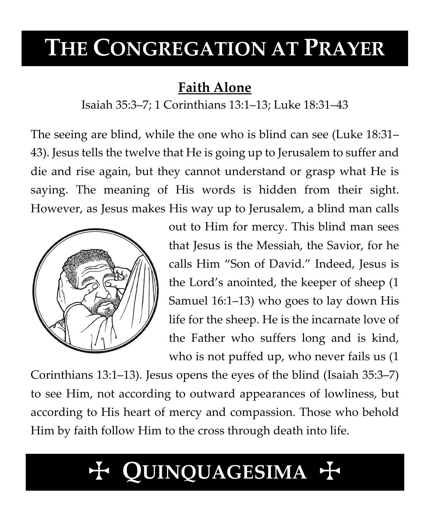# **THE CONGREGATION AT PRAYER**

# **Faith Alone**

Isaiah 35:3–7; 1 Corinthians 13:1–13; Luke 18:31–43

The seeing are blind, while the one who is blind can see (Luke 18:31– 43). Jesus tells the twelve that He is going up to Jerusalem to suffer and die and rise again, but they cannot understand or grasp what He is saying. The meaning of His words is hidden from their sight. However, as Jesus makes His way up to Jerusalem, a blind man calls



out to Him for mercy. This blind man sees that Jesus is the Messiah, the Savior, for he calls Him "Son of David." Indeed, Jesus is the Lord's anointed, the keeper of sheep (1 Samuel 16:1–13) who goes to lay down His life for the sheep. He is the incarnate love of the Father who suffers long and is kind, who is not puffed up, who never fails us (1

Corinthians 13:1–13). Jesus opens the eyes of the blind (Isaiah 35:3–7) to see Him, not according to outward appearances of lowliness, but according to His heart of mercy and compassion. Those who behold Him by faith follow Him to the cross through death into life.

# T **QUINQUAGESIMA** T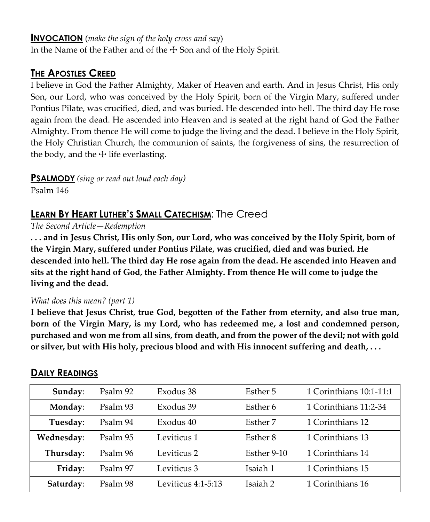#### **INVOCATION** (*make the sign of the holy cross and say*)

In the Name of the Father and of the  $\pm$  Son and of the Holy Spirit.

### **THE APOSTLES CREED**

I believe in God the Father Almighty, Maker of Heaven and earth. And in Jesus Christ, His only Son, our Lord, who was conceived by the Holy Spirit, born of the Virgin Mary, suffered under Pontius Pilate, was crucified, died, and was buried. He descended into hell. The third day He rose again from the dead. He ascended into Heaven and is seated at the right hand of God the Father Almighty. From thence He will come to judge the living and the dead. I believe in the Holy Spirit, the Holy Christian Church, the communion of saints, the forgiveness of sins, the resurrection of the body, and the  $\pm$  life everlasting.

**PSALMODY** *(sing or read out loud each day)*

Psalm 146

## **LEARN BY HEART LUTHER'S SMALL CATECHISM**: The Creed

*The Second Article—Redemption*

**. . . and in Jesus Christ, His only Son, our Lord, who was conceived by the Holy Spirit, born of the Virgin Mary, suffered under Pontius Pilate, was crucified, died and was buried. He descended into hell. The third day He rose again from the dead. He ascended into Heaven and sits at the right hand of God, the Father Almighty. From thence He will come to judge the living and the dead.**

#### *What does this mean? (part 1)*

**I believe that Jesus Christ, true God, begotten of the Father from eternity, and also true man, born of the Virgin Mary, is my Lord, who has redeemed me, a lost and condemned person, purchased and won me from all sins, from death, and from the power of the devil; not with gold or silver, but with His holy, precious blood and with His innocent suffering and death, . . .**

| Sunday:    | Psalm 92 | Exodus 38            | Esther 5    | 1 Corinthians 10:1-11:1 |
|------------|----------|----------------------|-------------|-------------------------|
| Monday:    | Psalm 93 | Exodus 39            | Esther 6    | 1 Corinthians 11:2-34   |
| Tuesday:   | Psalm 94 | Exodus 40            | Esther 7    | 1 Corinthians 12        |
| Wednesday: | Psalm 95 | Leviticus 1          | Esther 8    | 1 Corinthians 13        |
| Thursday:  | Psalm 96 | Leviticus 2          | Esther 9-10 | 1 Corinthians 14        |
| Friday:    | Psalm 97 | Leviticus 3          | Isaiah 1    | 1 Corinthians 15        |
| Saturday:  | Psalm 98 | Leviticus $4:1-5:13$ | Isaiah 2    | 1 Corinthians 16        |

### **DAILY READINGS**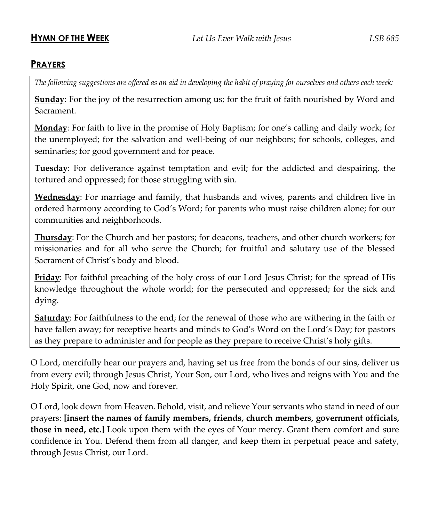#### **PRAYERS**

*The following suggestions are offered as an aid in developing the habit of praying for ourselves and others each week:*

**Sunday**: For the joy of the resurrection among us; for the fruit of faith nourished by Word and Sacrament.

**Monday**: For faith to live in the promise of Holy Baptism; for one's calling and daily work; for the unemployed; for the salvation and well-being of our neighbors; for schools, colleges, and seminaries; for good government and for peace.

**Tuesday**: For deliverance against temptation and evil; for the addicted and despairing, the tortured and oppressed; for those struggling with sin.

**Wednesday**: For marriage and family, that husbands and wives, parents and children live in ordered harmony according to God's Word; for parents who must raise children alone; for our communities and neighborhoods.

**Thursday**: For the Church and her pastors; for deacons, teachers, and other church workers; for missionaries and for all who serve the Church; for fruitful and salutary use of the blessed Sacrament of Christ's body and blood.

**Friday**: For faithful preaching of the holy cross of our Lord Jesus Christ; for the spread of His knowledge throughout the whole world; for the persecuted and oppressed; for the sick and dying.

**Saturday**: For faithfulness to the end; for the renewal of those who are withering in the faith or have fallen away; for receptive hearts and minds to God's Word on the Lord's Day; for pastors as they prepare to administer and for people as they prepare to receive Christ's holy gifts.

O Lord, mercifully hear our prayers and, having set us free from the bonds of our sins, deliver us from every evil; through Jesus Christ, Your Son, our Lord, who lives and reigns with You and the Holy Spirit, one God, now and forever.

O Lord, look down from Heaven. Behold, visit, and relieve Your servants who stand in need of our prayers: **[insert the names of family members, friends, church members, government officials, those in need, etc.]** Look upon them with the eyes of Your mercy. Grant them comfort and sure confidence in You. Defend them from all danger, and keep them in perpetual peace and safety, through Jesus Christ, our Lord.